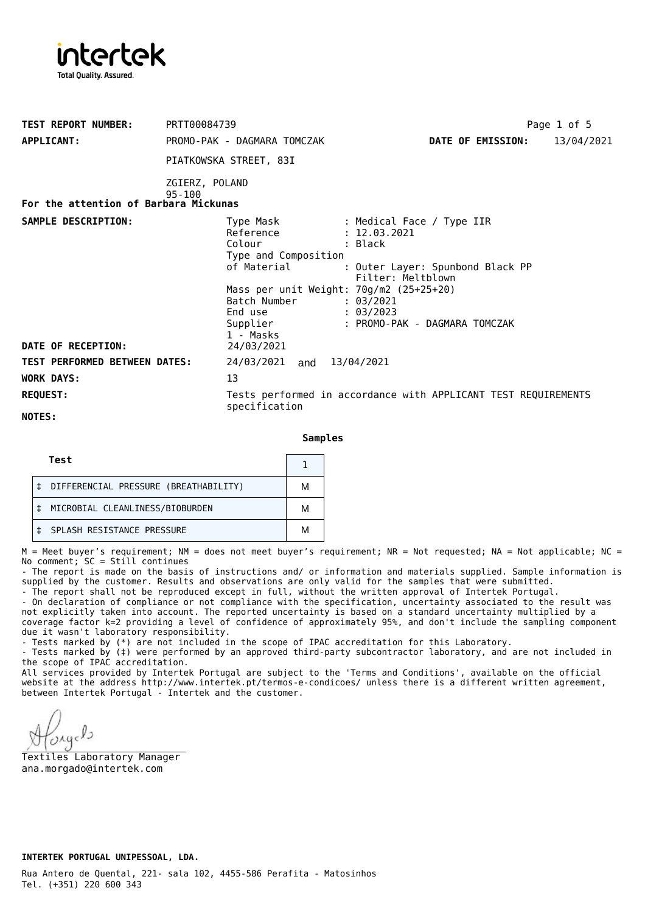

| <b>TEST REPORT NUMBER:</b><br><b>APPLICANT:</b> | PRTT00084739<br>PROMO-PAK - DAGMARA TOMCZAK                                                                                                                              | Page 1 of 5<br>DATE OF EMISSION:<br>13/04/2021                                                                                                                           |
|-------------------------------------------------|--------------------------------------------------------------------------------------------------------------------------------------------------------------------------|--------------------------------------------------------------------------------------------------------------------------------------------------------------------------|
|                                                 | PIATKOWSKA STREET, 83I                                                                                                                                                   |                                                                                                                                                                          |
|                                                 | ZGIERZ, POLAND                                                                                                                                                           |                                                                                                                                                                          |
| For the attention of Barbara Mickunas           | $95 - 100$                                                                                                                                                               |                                                                                                                                                                          |
| SAMPLE DESCRIPTION:                             | Type Mask<br>Reference<br>Colour<br>Type and Composition<br>of Material<br>Mass per unit Weight: $70g/m2$ (25+25+20)<br>Batch Number<br>End use<br>Supplier<br>1 - Masks | : Medical Face / Type IIR<br>: 12.03.2021<br>: Black<br>: Outer Layer: Spunbond Black PP<br>Filter: Meltblown<br>: 03/2021<br>: 03/2023<br>: PROMO-PAK - DAGMARA TOMCZAK |
| DATE OF RECEPTION:                              | 24/03/2021                                                                                                                                                               |                                                                                                                                                                          |
| <b>TEST PERFORMED BETWEEN DATES:</b>            | 24/03/2021 and 13/04/2021                                                                                                                                                |                                                                                                                                                                          |
| <b>WORK DAYS:</b>                               | 13                                                                                                                                                                       |                                                                                                                                                                          |
| <b>REQUEST:</b>                                 | specification                                                                                                                                                            | Tests performed in accordance with APPLICANT TEST REQUIREMENTS                                                                                                           |
| NOTES:                                          |                                                                                                                                                                          |                                                                                                                                                                          |

**Samples**

| Test                                  |   |
|---------------------------------------|---|
| DIFFERENCIAL PRESSURE (BREATHABILITY) | м |
| MICROBIAL CLEANLINESS/BIOBURDEN       | м |
| SPLASH RESISTANCE PRESSURE            | м |

M = Meet buyer's requirement; NM = does not meet buyer's requirement; NR = Not requested; NA = Not applicable; NC = No comment; SC = Still continues

- The report is made on the basis of instructions and/ or information and materials supplied. Sample information is supplied by the customer. Results and observations are only valid for the samples that were submitted.

- The report shall not be reproduced except in full, without the written approval of Intertek Portugal.

- On declaration of compliance or not compliance with the specification, uncertainty associated to the result was not explicitly taken into account. The reported uncertainty is based on a standard uncertainty multiplied by a coverage factor k=2 providing a level of confidence of approximately 95%, and don't include the sampling component due it wasn't laboratory responsibility.

- Tests marked by (\*) are not included in the scope of IPAC accreditation for this Laboratory.

- Tests marked by (‡) were performed by an approved third-party subcontractor laboratory, and are not included in the scope of IPAC accreditation.

All services provided by Intertek Portugal are subject to the 'Terms and Conditions', available on the official website at the address <http://www.intertek.pt/termos-e-condicoes/> unless there is a different written agreement, between Intertek Portugal - Intertek and the customer.

 $O\lambda$ q

Textiles Laboratory Manager ana.morgado@intertek.com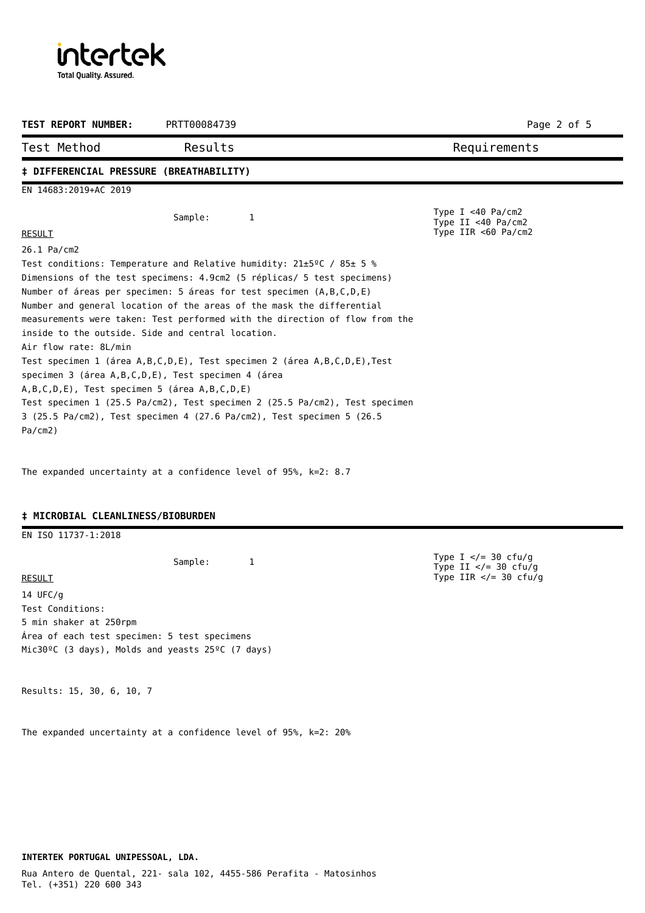intertek **Total Quality. Assured.** 

| <b>TEST REPORT NUMBER:</b>                                                                                                                                                                                     | PRTT00084739                                                                                                                                                                                                                                                                                                                                                                                                                                                                                                                                                                                                                       | Page 2 of 5                                                            |
|----------------------------------------------------------------------------------------------------------------------------------------------------------------------------------------------------------------|------------------------------------------------------------------------------------------------------------------------------------------------------------------------------------------------------------------------------------------------------------------------------------------------------------------------------------------------------------------------------------------------------------------------------------------------------------------------------------------------------------------------------------------------------------------------------------------------------------------------------------|------------------------------------------------------------------------|
| Test Method                                                                                                                                                                                                    | Results                                                                                                                                                                                                                                                                                                                                                                                                                                                                                                                                                                                                                            | Requirements                                                           |
| # DIFFERENCIAL PRESSURE (BREATHABILITY)                                                                                                                                                                        |                                                                                                                                                                                                                                                                                                                                                                                                                                                                                                                                                                                                                                    |                                                                        |
| EN 14683:2019+AC 2019                                                                                                                                                                                          |                                                                                                                                                                                                                                                                                                                                                                                                                                                                                                                                                                                                                                    |                                                                        |
| <b>RESULT</b>                                                                                                                                                                                                  | Sample:<br>1                                                                                                                                                                                                                                                                                                                                                                                                                                                                                                                                                                                                                       | Type I $<$ 40 Pa/cm2<br>Type II <40 $Pa/cm2$<br>Type IIR $<$ 60 Pa/cm2 |
| 26.1 Pa/cm2<br>inside to the outside. Side and central location.<br>Air flow rate: 8L/min<br>specimen 3 (área A, B, C, D, E), Test specimen 4 (área<br>A,B,C,D,E), Test specimen 5 (área A,B,C,D,E)<br>Pa/cm2) | Test conditions: Temperature and Relative humidity: $21\pm5\degree$ C / 85 $\pm$ 5 %<br>Dimensions of the test specimens: 4.9cm2 (5 réplicas/ 5 test specimens)<br>Number of áreas per specimen: 5 áreas for test specimen (A,B,C,D,E)<br>Number and general location of the areas of the mask the differential<br>measurements were taken: Test performed with the direction of flow from the<br>Test specimen 1 (área A,B,C,D,E), Test specimen 2 (área A,B,C,D,E), Test<br>Test specimen 1 (25.5 Pa/cm2), Test specimen 2 (25.5 Pa/cm2), Test specimen<br>3 (25.5 Pa/cm2), Test specimen 4 (27.6 Pa/cm2), Test specimen 5 (26.5 |                                                                        |

The expanded uncertainty at a confidence level of 95%, k=2: 8.7

## **‡ MICROBIAL CLEANLINESS/BIOBURDEN**

EN ISO 11737-1:2018

Sample: 1

RESULT 14 UFC/g Test Conditions: 5 min shaker at 250rpm Área of each test specimen: 5 test specimens Mic30ºC (3 days), Molds and yeasts 25ºC (7 days)

Results: 15, 30, 6, 10, 7

The expanded uncertainty at a confidence level of 95%, k=2: 20%

Type I </= 30 cfu/g Type II </= 30 cfu/g Type IIR  $\lt/=$  30 cfu/g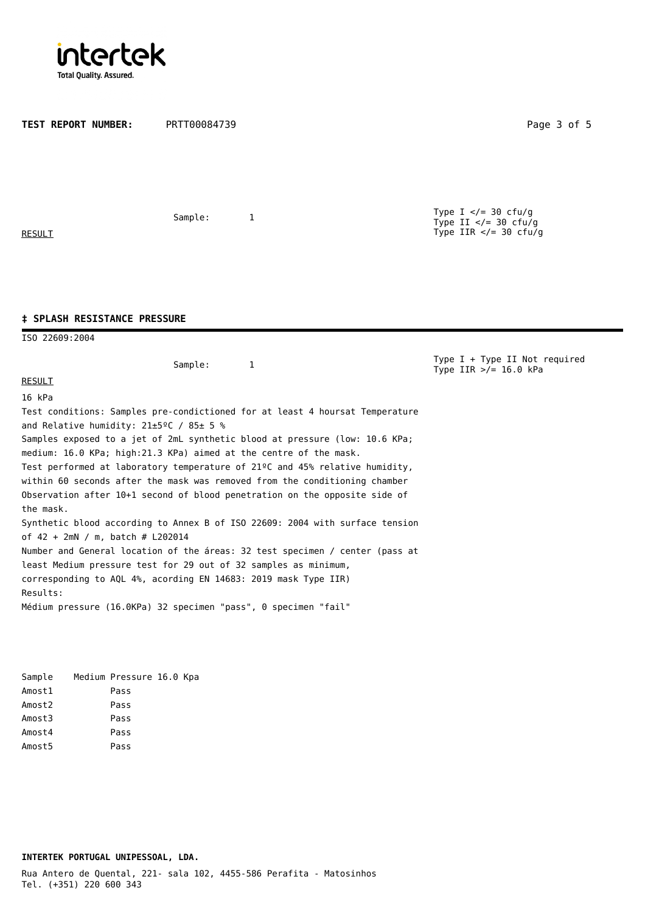

**TEST REPORT NUMBER:** PRTT00084739 Page 3 of 5 Sample: 1 **RESULT** Type I  $\lt$ /= 30 cfu/g Type II  $\lt/=$  30 cfu/g Type IIR  $\lt/=$  30 cfu/g ISO 22609:2004 **‡ SPLASH RESISTANCE PRESSURE** Sample: 1 RESULT 16 kPa Test conditions: Samples pre-condictioned for at least 4 hoursat Temperature and Relative humidity: 21±5ºC / 85± 5 % Samples exposed to a jet of 2mL synthetic blood at pressure (low: 10.6 KPa; medium: 16.0 KPa; high:21.3 KPa) aimed at the centre of the mask. Test performed at laboratory temperature of 21ºC and 45% relative humidity, within 60 seconds after the mask was removed from the conditioning chamber Observation after 10+1 second of blood penetration on the opposite side of the mask. Synthetic blood according to Annex B of ISO 22609: 2004 with surface tension of 42 + 2mN / m, batch # L202014 Type  $I + Type II$  Not required Type  $IIR > f = 16.0$  kPa

Number and General location of the áreas: 32 test specimen / center (pass at least Medium pressure test for 29 out of 32 samples as minimum, corresponding to AQL 4%, acording EN 14683: 2019 mask Type IIR) Results: Médium pressure (16.0KPa) 32 specimen "pass", 0 specimen "fail"

Sample Medium Pressure 16.0 Kpa Amost1 Pass Amost2 Pass Amost3 Pass Amost4 Pass Amost5 Pass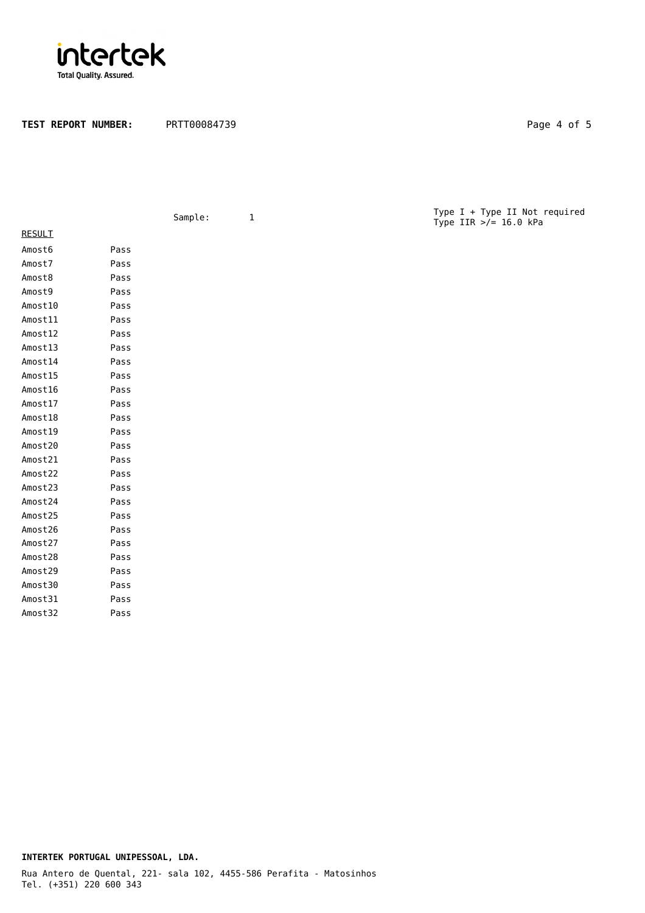

TEST REPORT NUMBER: PRTT00084739 Page 4 of 5

|               |      | Sample: | $\mathbf 1$ | Type I + Type II Not required<br>Type IIR $\frac{1}{2}$ 16.0 kPa |
|---------------|------|---------|-------------|------------------------------------------------------------------|
| <b>RESULT</b> |      |         |             |                                                                  |
| Amost6        | Pass |         |             |                                                                  |
| Amost7        | Pass |         |             |                                                                  |
| Amost8        | Pass |         |             |                                                                  |
| Amost9        | Pass |         |             |                                                                  |
| Amost10       | Pass |         |             |                                                                  |
| Amost11       | Pass |         |             |                                                                  |
| Amost12       | Pass |         |             |                                                                  |
| Amost13       | Pass |         |             |                                                                  |
| Amost14       | Pass |         |             |                                                                  |
| Amost15       | Pass |         |             |                                                                  |
| Amost16       | Pass |         |             |                                                                  |
| Amost17       | Pass |         |             |                                                                  |
| Amost18       | Pass |         |             |                                                                  |
| Amost19       | Pass |         |             |                                                                  |
| Amost20       | Pass |         |             |                                                                  |
| Amost21       | Pass |         |             |                                                                  |
| Amost22       | Pass |         |             |                                                                  |
| Amost23       | Pass |         |             |                                                                  |
| Amost24       | Pass |         |             |                                                                  |
| Amost25       | Pass |         |             |                                                                  |
| Amost26       | Pass |         |             |                                                                  |
| Amost27       | Pass |         |             |                                                                  |
| Amost28       | Pass |         |             |                                                                  |
| Amost29       | Pass |         |             |                                                                  |
| Amost30       | Pass |         |             |                                                                  |
| Amost31       | Pass |         |             |                                                                  |
| Amost32       | Pass |         |             |                                                                  |
|               |      |         |             |                                                                  |
|               |      |         |             |                                                                  |

## Tel. (+351) 220 600 343 **INTERTEK PORTUGAL UNIPESSOAL, LDA.** Rua Antero de Quental, 221- sala 102, 4455-586 Perafita - Matosinhos